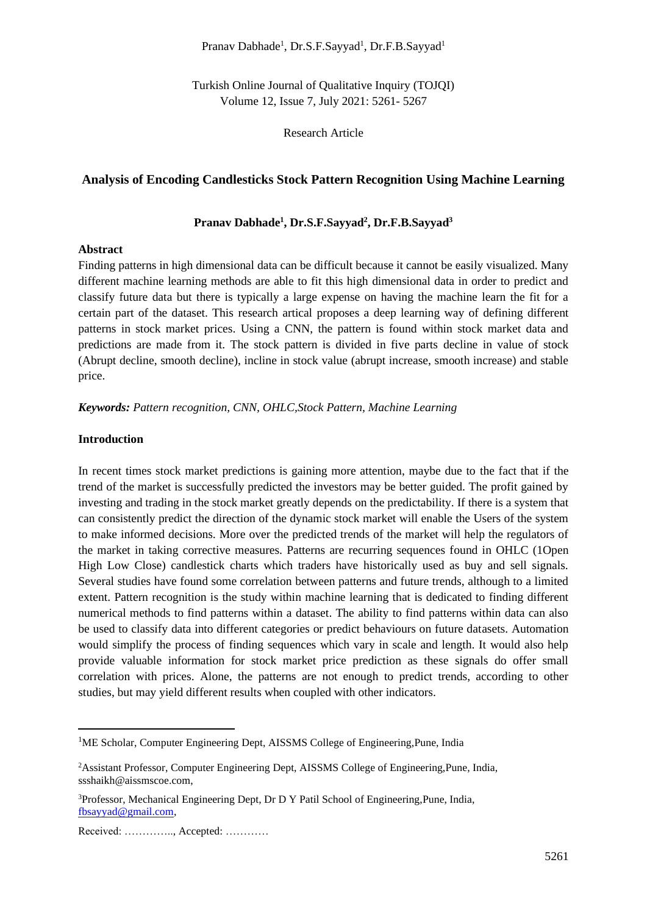## Pranav Dabhade<sup>1</sup>, Dr.S.F.Sayyad<sup>1</sup>, Dr.F.B.Sayyad<sup>1</sup>

Turkish Online Journal of Qualitative Inquiry (TOJQI) Volume 12, Issue 7, July 2021: 5261- 5267

Research Article

# **Analysis of Encoding Candlesticks Stock Pattern Recognition Using Machine Learning**

# **Pranav Dabhade<sup>1</sup> , Dr.S.F.Sayyad<sup>2</sup> , Dr.F.B.Sayyad<sup>3</sup>**

### **Abstract**

Finding patterns in high dimensional data can be difficult because it cannot be easily visualized. Many different machine learning methods are able to fit this high dimensional data in order to predict and classify future data but there is typically a large expense on having the machine learn the fit for a certain part of the dataset. This research artical proposes a deep learning way of defining different patterns in stock market prices. Using a CNN, the pattern is found within stock market data and predictions are made from it. The stock pattern is divided in five parts decline in value of stock (Abrupt decline, smooth decline), incline in stock value (abrupt increase, smooth increase) and stable price.

*Keywords: Pattern recognition, CNN, OHLC,Stock Pattern, Machine Learning*

## **Introduction**

In recent times stock market predictions is gaining more attention, maybe due to the fact that if the trend of the market is successfully predicted the investors may be better guided. The profit gained by investing and trading in the stock market greatly depends on the predictability. If there is a system that can consistently predict the direction of the dynamic stock market will enable the Users of the system to make informed decisions. More over the predicted trends of the market will help the regulators of the market in taking corrective measures. Patterns are recurring sequences found in OHLC (1Open High Low Close) candlestick charts which traders have historically used as buy and sell signals. Several studies have found some correlation between patterns and future trends, although to a limited extent. Pattern recognition is the study within machine learning that is dedicated to finding different numerical methods to find patterns within a dataset. The ability to find patterns within data can also be used to classify data into different categories or predict behaviours on future datasets. Automation would simplify the process of finding sequences which vary in scale and length. It would also help provide valuable information for stock market price prediction as these signals do offer small correlation with prices. Alone, the patterns are not enough to predict trends, according to other studies, but may yield different results when coupled with other indicators.

<sup>&</sup>lt;sup>1</sup>ME Scholar, Computer Engineering Dept, AISSMS College of Engineering, Pune, India

<sup>2</sup>Assistant Professor, Computer Engineering Dept, AISSMS College of Engineering,Pune, India, ssshaikh@aissmscoe.com,

<sup>3</sup>Professor, Mechanical Engineering Dept, Dr D Y Patil School of Engineering,Pune, India, [fbsayyad@gmail.com,](mailto:fbsayyad@gmail.com)

Received: ………….., Accepted: …………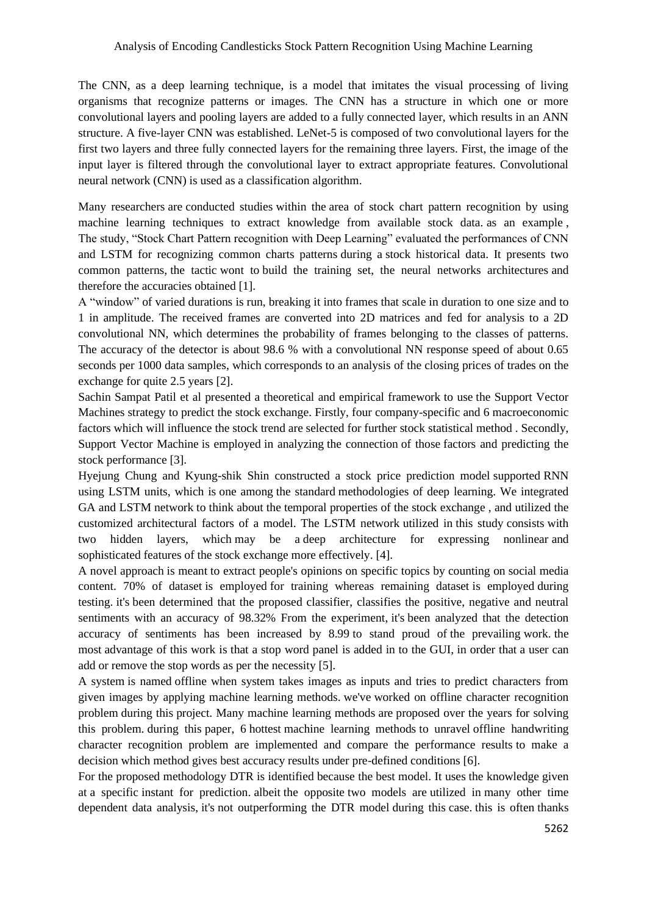The CNN, as a deep learning technique, is a model that imitates the visual processing of living organisms that recognize patterns or images. The CNN has a structure in which one or more convolutional layers and pooling layers are added to a fully connected layer, which results in an ANN structure. A five-layer CNN was established. LeNet-5 is composed of two convolutional layers for the first two layers and three fully connected layers for the remaining three layers. First, the image of the input layer is filtered through the convolutional layer to extract appropriate features. Convolutional neural network (CNN) is used as a classification algorithm.

Many researchers are conducted studies within the area of stock chart pattern recognition by using machine learning techniques to extract knowledge from available stock data. as an example , The study, "Stock Chart Pattern recognition with Deep Learning" evaluated the performances of CNN and LSTM for recognizing common charts patterns during a stock historical data. It presents two common patterns, the tactic wont to build the training set, the neural networks architectures and therefore the accuracies obtained [1].

A "window" of varied durations is run, breaking it into frames that scale in duration to one size and to 1 in amplitude. The received frames are converted into 2D matrices and fed for analysis to a 2D convolutional NN, which determines the probability of frames belonging to the classes of patterns. The accuracy of the detector is about 98.6 % with a convolutional NN response speed of about 0.65 seconds per 1000 data samples, which corresponds to an analysis of the closing prices of trades on the exchange for quite 2.5 years [2].

Sachin Sampat Patil et al presented a theoretical and empirical framework to use the Support Vector Machines strategy to predict the stock exchange. Firstly, four company-specific and 6 macroeconomic factors which will influence the stock trend are selected for further stock statistical method . Secondly, Support Vector Machine is employed in analyzing the connection of those factors and predicting the stock performance [3].

Hyejung Chung and Kyung-shik Shin constructed a stock price prediction model supported RNN using LSTM units, which is one among the standard methodologies of deep learning. We integrated GA and LSTM network to think about the temporal properties of the stock exchange , and utilized the customized architectural factors of a model. The LSTM network utilized in this study consists with two hidden layers, which may be a deep architecture for expressing nonlinear and sophisticated features of the stock exchange more effectively. [4].

A novel approach is meant to extract people's opinions on specific topics by counting on social media content. 70% of dataset is employed for training whereas remaining dataset is employed during testing. it's been determined that the proposed classifier, classifies the positive, negative and neutral sentiments with an accuracy of 98.32% From the experiment, it's been analyzed that the detection accuracy of sentiments has been increased by 8.99 to stand proud of the prevailing work. the most advantage of this work is that a stop word panel is added in to the GUI, in order that a user can add or remove the stop words as per the necessity [5].

A system is named offline when system takes images as inputs and tries to predict characters from given images by applying machine learning methods. we've worked on offline character recognition problem during this project. Many machine learning methods are proposed over the years for solving this problem. during this paper, 6 hottest machine learning methods to unravel offline handwriting character recognition problem are implemented and compare the performance results to make a decision which method gives best accuracy results under pre-defined conditions [6].

For the proposed methodology DTR is identified because the best model. It uses the knowledge given at a specific instant for prediction. albeit the opposite two models are utilized in many other time dependent data analysis, it's not outperforming the DTR model during this case. this is often thanks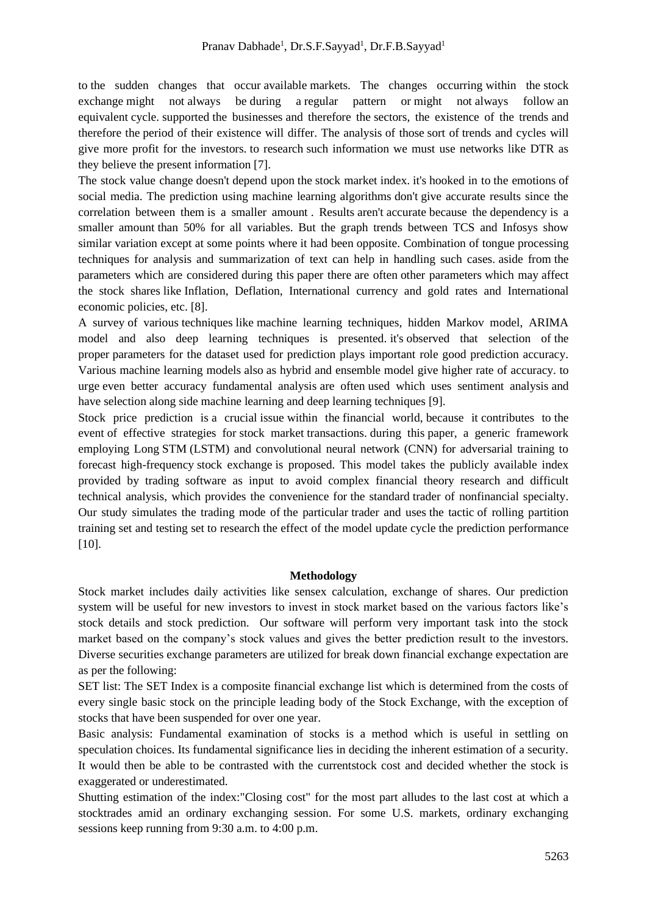to the sudden changes that occur available markets. The changes occurring within the stock exchange might not always be during a regular pattern or might not always follow an equivalent cycle. supported the businesses and therefore the sectors, the existence of the trends and therefore the period of their existence will differ. The analysis of those sort of trends and cycles will give more profit for the investors. to research such information we must use networks like DTR as they believe the present information [7].

The stock value change doesn't depend upon the stock market index. it's hooked in to the emotions of social media. The prediction using machine learning algorithms don't give accurate results since the correlation between them is a smaller amount . Results aren't accurate because the dependency is a smaller amount than 50% for all variables. But the graph trends between TCS and Infosys show similar variation except at some points where it had been opposite. Combination of tongue processing techniques for analysis and summarization of text can help in handling such cases. aside from the parameters which are considered during this paper there are often other parameters which may affect the stock shares like Inflation, Deflation, International currency and gold rates and International economic policies, etc. [8].

A survey of various techniques like machine learning techniques, hidden Markov model, ARIMA model and also deep learning techniques is presented. it's observed that selection of the proper parameters for the dataset used for prediction plays important role good prediction accuracy. Various machine learning models also as hybrid and ensemble model give higher rate of accuracy. to urge even better accuracy fundamental analysis are often used which uses sentiment analysis and have selection along side machine learning and deep learning techniques [9].

Stock price prediction is a crucial issue within the financial world, because it contributes to the event of effective strategies for stock market transactions. during this paper, a generic framework employing Long STM (LSTM) and convolutional neural network (CNN) for adversarial training to forecast high-frequency stock exchange is proposed. This model takes the publicly available index provided by trading software as input to avoid complex financial theory research and difficult technical analysis, which provides the convenience for the standard trader of nonfinancial specialty. Our study simulates the trading mode of the particular trader and uses the tactic of rolling partition training set and testing set to research the effect of the model update cycle the prediction performance [10].

### **Methodology**

Stock market includes daily activities like sensex calculation, exchange of shares. Our prediction system will be useful for new investors to invest in stock market based on the various factors like's stock details and stock prediction. Our software will perform very important task into the stock market based on the company's stock values and gives the better prediction result to the investors. Diverse securities exchange parameters are utilized for break down financial exchange expectation are as per the following:

SET list: The SET Index is a composite financial exchange list which is determined from the costs of every single basic stock on the principle leading body of the Stock Exchange, with the exception of stocks that have been suspended for over one year.

Basic analysis: Fundamental examination of stocks is a method which is useful in settling on speculation choices. Its fundamental significance lies in deciding the inherent estimation of a security. It would then be able to be contrasted with the currentstock cost and decided whether the stock is exaggerated or underestimated.

Shutting estimation of the index:"Closing cost" for the most part alludes to the last cost at which a stocktrades amid an ordinary exchanging session. For some U.S. markets, ordinary exchanging sessions keep running from 9:30 a.m. to 4:00 p.m.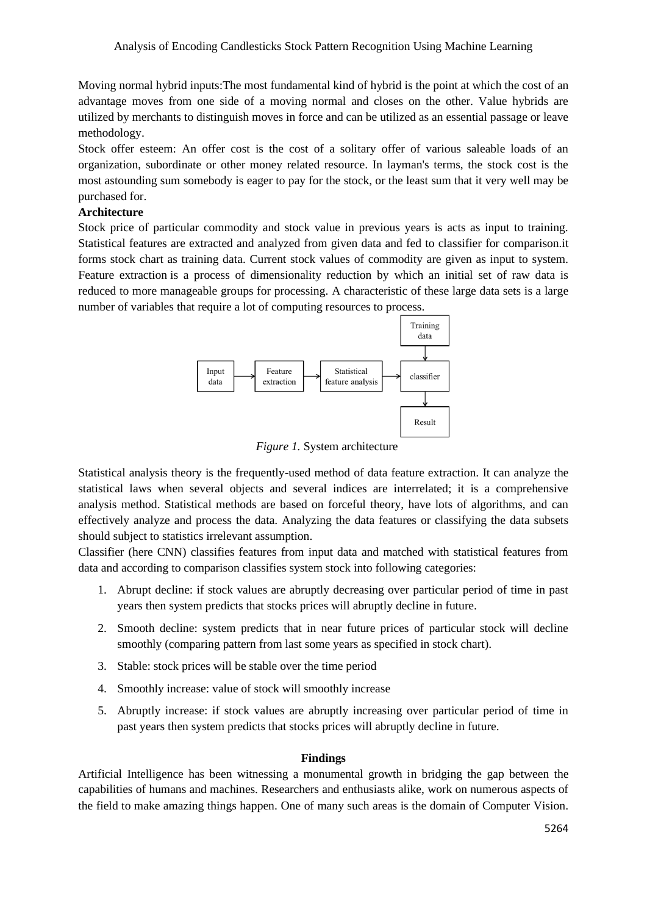Moving normal hybrid inputs:The most fundamental kind of hybrid is the point at which the cost of an advantage moves from one side of a moving normal and closes on the other. Value hybrids are utilized by merchants to distinguish moves in force and can be utilized as an essential passage or leave methodology.

Stock offer esteem: An offer cost is the cost of a solitary offer of various saleable loads of an organization, subordinate or other money related resource. In layman's terms, the stock cost is the most astounding sum somebody is eager to pay for the stock, or the least sum that it very well may be purchased for.

# **Architecture**

Stock price of particular commodity and stock value in previous years is acts as input to training. Statistical features are extracted and analyzed from given data and fed to classifier for comparison.it forms stock chart as training data. Current stock values of commodity are given as input to system. Feature extraction is a process of dimensionality reduction by which an initial set of raw data is reduced to more manageable groups for processing. A characteristic of these large data sets is a large number of variables that require a lot of computing resources to process.



*Figure 1.* System architecture

Statistical analysis theory is the frequently-used method of data feature extraction. It can analyze the statistical laws when several objects and several indices are interrelated; it is a comprehensive analysis method. Statistical methods are based on forceful theory, have lots of algorithms, and can effectively analyze and process the data. Analyzing the data features or classifying the data subsets should subject to statistics irrelevant assumption.

Classifier (here CNN) classifies features from input data and matched with statistical features from data and according to comparison classifies system stock into following categories:

- 1. Abrupt decline: if stock values are abruptly decreasing over particular period of time in past years then system predicts that stocks prices will abruptly decline in future.
- 2. Smooth decline: system predicts that in near future prices of particular stock will decline smoothly (comparing pattern from last some years as specified in stock chart).
- 3. Stable: stock prices will be stable over the time period
- 4. Smoothly increase: value of stock will smoothly increase
- 5. Abruptly increase: if stock values are abruptly increasing over particular period of time in past years then system predicts that stocks prices will abruptly decline in future.

## **Findings**

Artificial Intelligence has been witnessing a monumental growth in bridging the gap between the capabilities of humans and machines. Researchers and enthusiasts alike, work on numerous aspects of the field to make amazing things happen. One of many such areas is the domain of Computer Vision.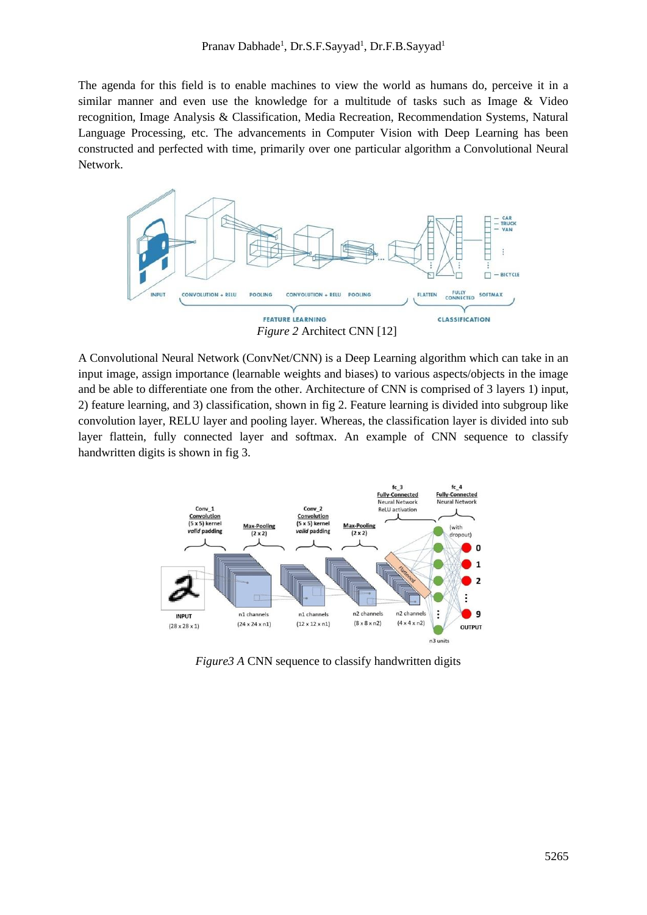The agenda for this field is to enable machines to view the world as humans do, perceive it in a similar manner and even use the knowledge for a multitude of tasks such as Image & Video recognition, Image Analysis & Classification, Media Recreation, Recommendation Systems, Natural Language Processing, etc. The advancements in Computer Vision with Deep Learning has been constructed and perfected with time, primarily over one particular algorithm a Convolutional Neural Network.



A Convolutional Neural Network (ConvNet/CNN) is a Deep Learning algorithm which can take in an input image, assign importance (learnable weights and biases) to various aspects/objects in the image and be able to differentiate one from the other. Architecture of CNN is comprised of 3 layers 1) input, 2) feature learning, and 3) classification, shown in fig 2. Feature learning is divided into subgroup like convolution layer, RELU layer and pooling layer. Whereas, the classification layer is divided into sub layer flattein, fully connected layer and softmax. An example of CNN sequence to classify handwritten digits is shown in fig 3.



*Figure3 A CNN sequence to classify handwritten digits*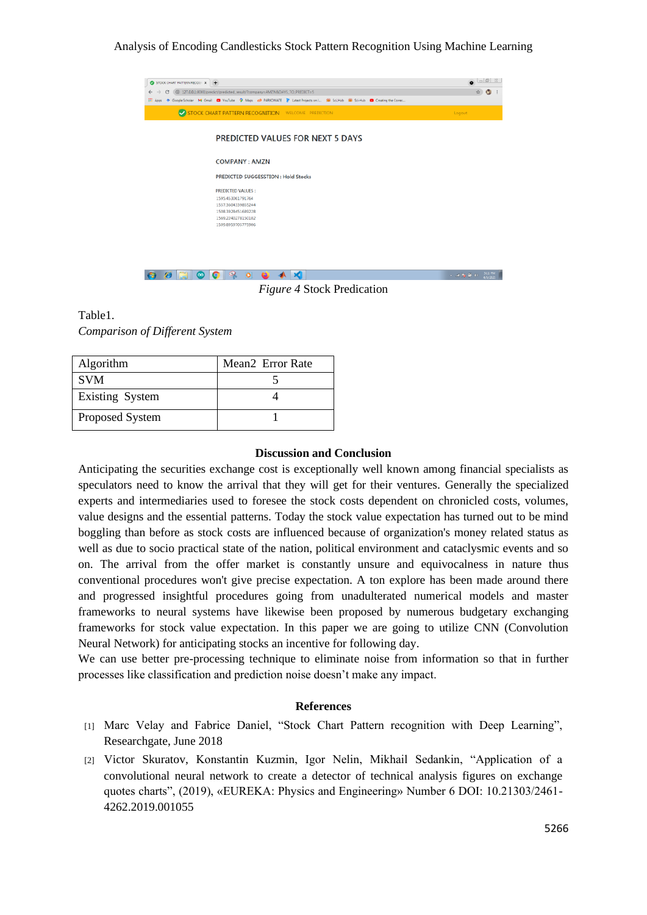## Analysis of Encoding Candlesticks Stock Pattern Recognition Using Machine Learning



*Figure 4* Stock Predication

Table1. *Comparison of Different System*

| Algorithm       | Mean <sub>2</sub> Error Rate |
|-----------------|------------------------------|
| <b>SVM</b>      |                              |
| Existing System |                              |
| Proposed System |                              |

### **Discussion and Conclusion**

Anticipating the securities exchange cost is exceptionally well known among financial specialists as speculators need to know the arrival that they will get for their ventures. Generally the specialized experts and intermediaries used to foresee the stock costs dependent on chronicled costs, volumes, value designs and the essential patterns. Today the stock value expectation has turned out to be mind boggling than before as stock costs are influenced because of organization's money related status as well as due to socio practical state of the nation, political environment and cataclysmic events and so on. The arrival from the offer market is constantly unsure and equivocalness in nature thus conventional procedures won't give precise expectation. A ton explore has been made around there and progressed insightful procedures going from unadulterated numerical models and master frameworks to neural systems have likewise been proposed by numerous budgetary exchanging frameworks for stock value expectation. In this paper we are going to utilize CNN (Convolution Neural Network) for anticipating stocks an incentive for following day.

We can use better pre-processing technique to eliminate noise from information so that in further processes like classification and prediction noise doesn't make any impact.

#### **References**

- [1] Marc Velay and Fabrice Daniel, "Stock Chart Pattern recognition with Deep Learning", Researchgate, June 2018
- [2] Victor Skuratov, Konstantin Kuzmin, Igor Nelin, Mikhail Sedankin, "Application of a convolutional neural network to create a detector of technical analysis figures on exchange quotes charts", (2019), «EUREKA: Physics and Engineering» Number 6 DOI: 10.21303/2461- 4262.2019.001055